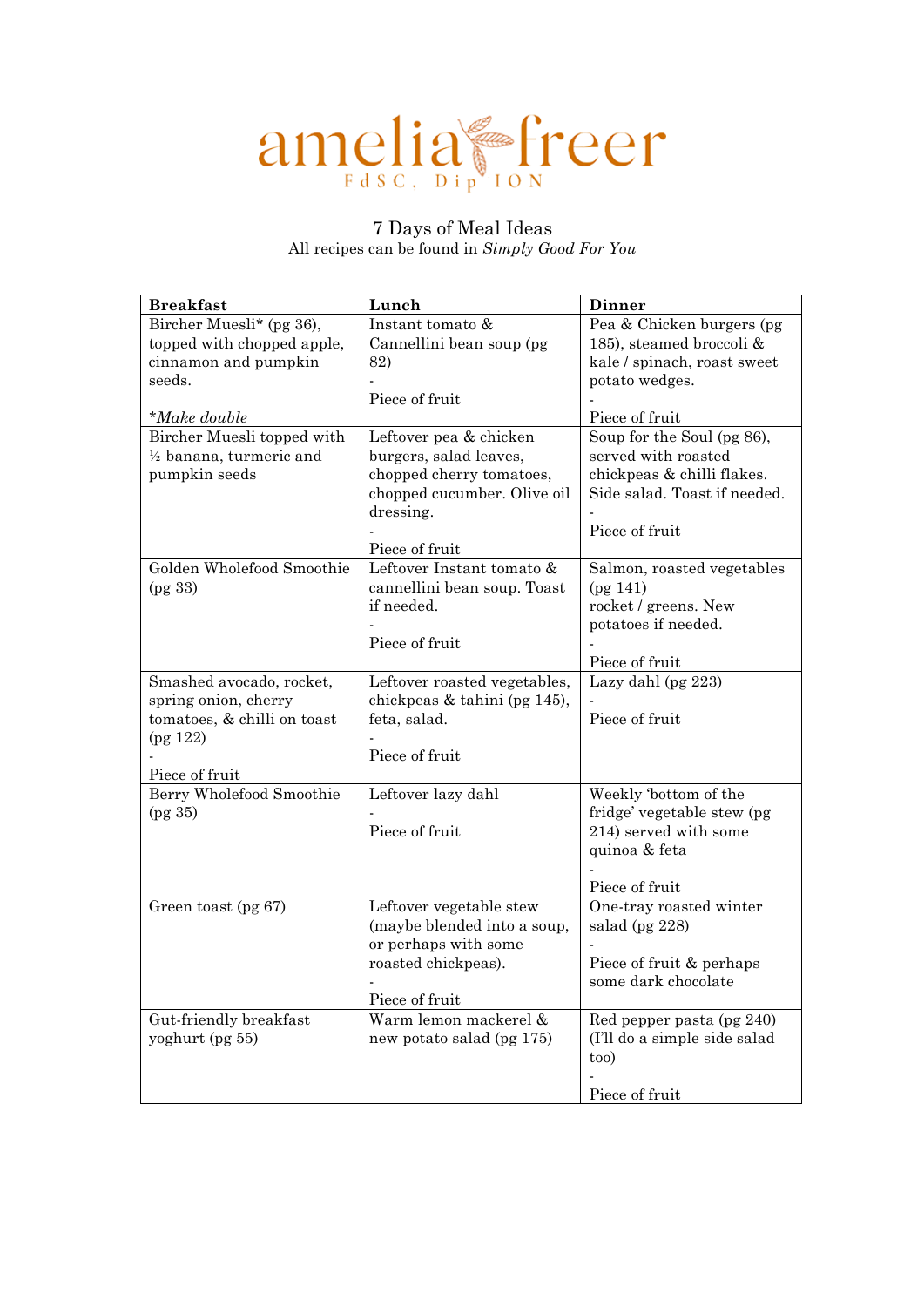# amelia freer

# 7 Days of Meal Ideas All recipes can be found in *[Simply Good For You](https://www.amazon.co.uk/Simply-Good-You-bursting-goodness/dp/0241414687/ref=sr_1_1?keywords=simply+good+for+you&qid=1578848488&sr=8-1)*

| <b>Breakfast</b>                   | Lunch                        | <b>Dinner</b>                                       |
|------------------------------------|------------------------------|-----------------------------------------------------|
| Bircher Muesli* (pg 36),           | Instant tomato &             | Pea & Chicken burgers (pg                           |
| topped with chopped apple,         | Cannellini bean soup (pg     | 185), steamed broccoli &                            |
| cinnamon and pumpkin               | 82)                          | kale / spinach, roast sweet                         |
| seeds.                             |                              | potato wedges.                                      |
|                                    | Piece of fruit               |                                                     |
| $^*$ Make double                   |                              | Piece of fruit                                      |
| Bircher Muesli topped with         | Leftover pea & chicken       | Soup for the Soul (pg 86),                          |
| $\frac{1}{2}$ banana, turmeric and | burgers, salad leaves,       | served with roasted                                 |
| pumpkin seeds                      | chopped cherry tomatoes,     | chickpeas & chilli flakes.                          |
|                                    | chopped cucumber. Olive oil  | Side salad. Toast if needed.                        |
|                                    | dressing.                    |                                                     |
|                                    |                              | Piece of fruit                                      |
|                                    | Piece of fruit               |                                                     |
| Golden Wholefood Smoothie          | Leftover Instant tomato &    | Salmon, roasted vegetables                          |
| (pg 33)                            | cannellini bean soup. Toast  | (pg 141)                                            |
|                                    | if needed.                   | rocket / greens. New                                |
|                                    |                              | potatoes if needed.                                 |
|                                    | Piece of fruit               |                                                     |
|                                    |                              | Piece of fruit                                      |
| Smashed avocado, rocket,           | Leftover roasted vegetables, | Lazy dahl (pg 223)                                  |
| spring onion, cherry               | chickpeas & tahini (pg 145), |                                                     |
| tomatoes, & chilli on toast        | feta, salad.                 | Piece of fruit                                      |
| (pg 122)                           |                              |                                                     |
|                                    | Piece of fruit               |                                                     |
| Piece of fruit                     |                              |                                                     |
| Berry Wholefood Smoothie           | Leftover lazy dahl           | Weekly 'bottom of the<br>fridge' vegetable stew (pg |
| (pg 35)                            | Piece of fruit               | 214) served with some                               |
|                                    |                              | quinoa & feta                                       |
|                                    |                              |                                                     |
|                                    |                              | Piece of fruit                                      |
| Green toast (pg 67)                | Leftover vegetable stew      | One-tray roasted winter                             |
|                                    | (maybe blended into a soup,  | salad (pg 228)                                      |
|                                    | or perhaps with some         |                                                     |
|                                    | roasted chickpeas).          | Piece of fruit & perhaps                            |
|                                    |                              | some dark chocolate                                 |
|                                    | Piece of fruit               |                                                     |
| Gut-friendly breakfast             | Warm lemon mackerel &        | Red pepper pasta (pg 240)                           |
| yoghurt (pg 55)                    | new potato salad (pg 175)    | (I'll do a simple side salad                        |
|                                    |                              | too)                                                |
|                                    |                              |                                                     |
|                                    |                              | Piece of fruit                                      |